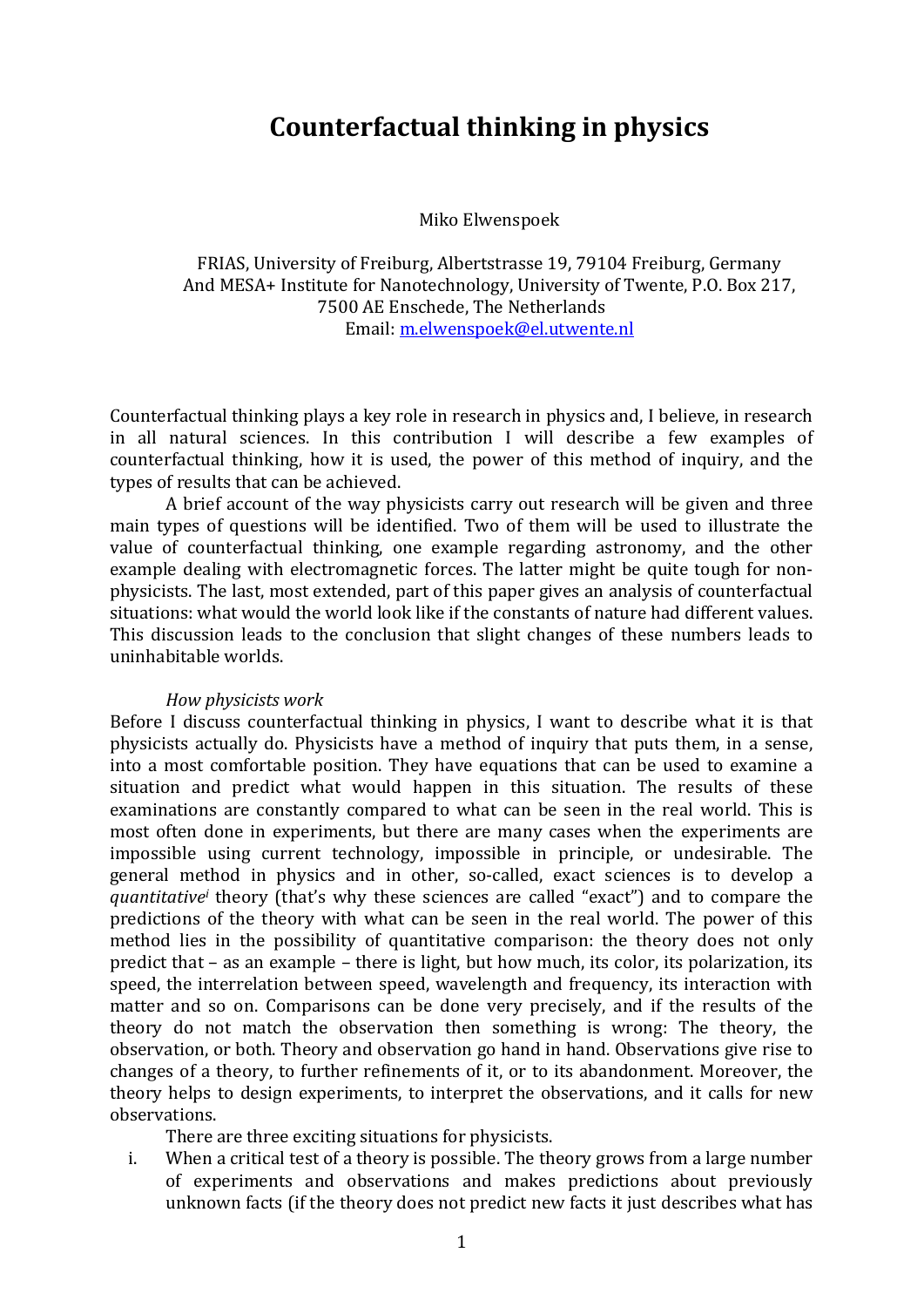# **Counterfactual thinking in physics**

Miko Elwenspoek

FRIAS, University of Freiburg, Albertstrasse 19, 79104 Freiburg, Germany And MESA+ Institute for Nanotechnology, University of Twente, P.O. Box 217, 7500 AE Enschede, The Netherlands Email: m.elwenspoek@el.utwente.nl

Counterfactual thinking plays a key role in research in physics and, I believe, in research in all natural sciences. In this contribution I will describe a few examples of counterfactual thinking, how it is used, the power of this method of inquiry, and the types of results that can be achieved.

A brief account of the way physicists carry out research will be given and three main types of questions will be identified. Two of them will be used to illustrate the value of counterfactual thinking, one example regarding astronomy, and the other example dealing with electromagnetic forces. The latter might be quite tough for nonphysicists. The last, most extended, part of this paper gives an analysis of counterfactual situations: what would the world look like if the constants of nature had different values. This discussion leads to the conclusion that slight changes of these numbers leads to uninhabitable worlds.

### *How physicists work*

Before I discuss counterfactual thinking in physics, I want to describe what it is that physicists actually do. Physicists have a method of inquiry that puts them, in a sense, into a most comfortable position. They have equations that can be used to examine a situation and predict what would happen in this situation. The results of these examinations are constantly compared to what can be seen in the real world. This is most often done in experiments, but there are many cases when the experiments are impossible using current technology, impossible in principle, or undesirable. The general method in physics and in other, so-called, exact sciences is to develop a *quantitative* theory (that's why these sciences are called "exact") and to compare the predictions of the theory with what can be seen in the real world. The power of this method lies in the possibility of quantitative comparison: the theory does not only predict that  $-$  as an example  $-$  there is light, but how much, its color, its polarization, its speed, the interrelation between speed, wavelength and frequency, its interaction with matter and so on. Comparisons can be done very precisely, and if the results of the theory do not match the observation then something is wrong: The theory, the observation, or both. Theory and observation go hand in hand. Observations give rise to changes of a theory, to further refinements of it, or to its abandonment. Moreover, the theory helps to design experiments, to interpret the observations, and it calls for new observations. 

There are three exciting situations for physicists.

i. When a critical test of a theory is possible. The theory grows from a large number of experiments and observations and makes predictions about previously unknown facts (if the theory does not predict new facts it just describes what has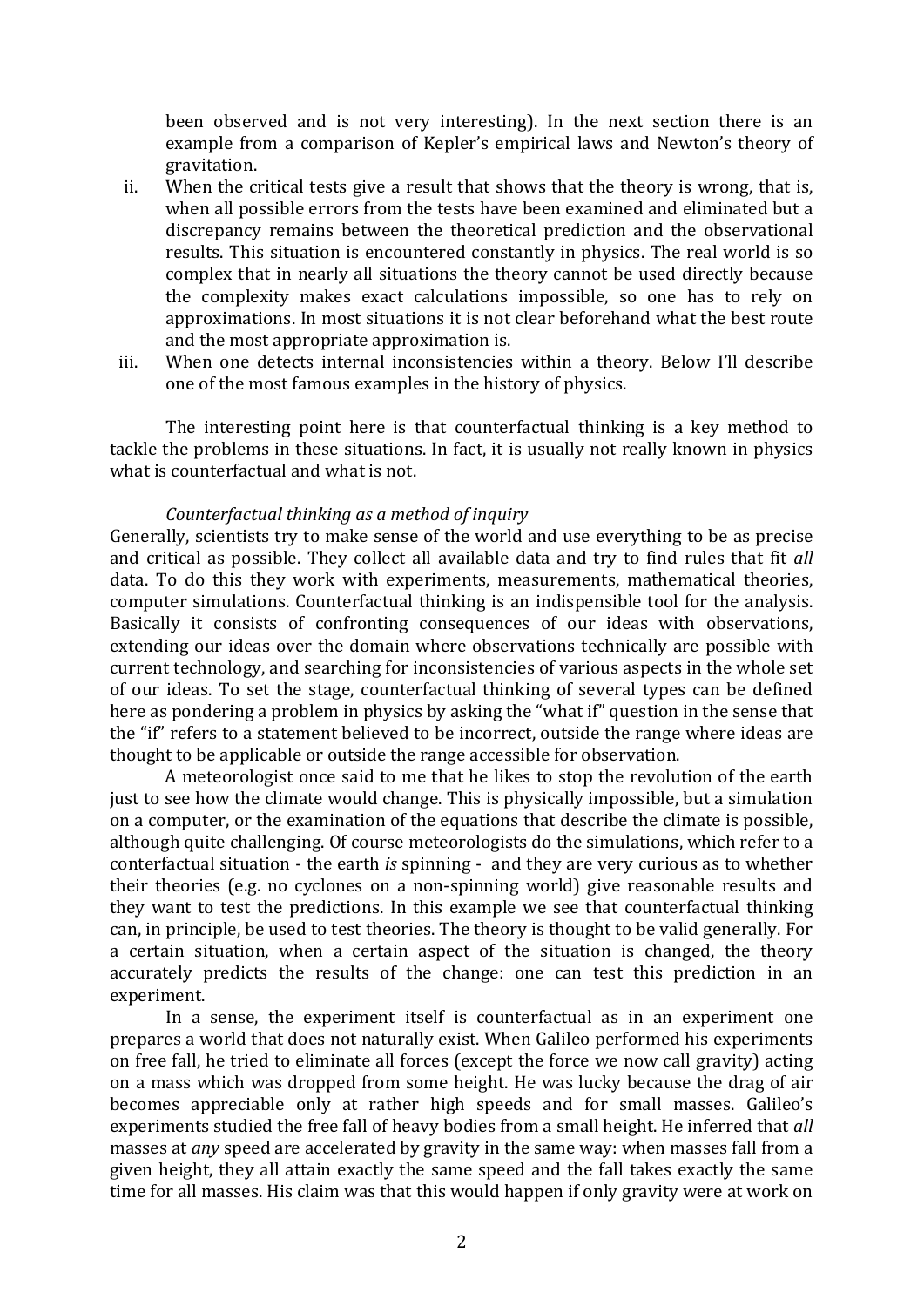been observed and is not very interesting). In the next section there is an example from a comparison of Kepler's empirical laws and Newton's theory of gravitation. 

- ii. When the critical tests give a result that shows that the theory is wrong, that is, when all possible errors from the tests have been examined and eliminated but a discrepancy remains between the theoretical prediction and the observational results. This situation is encountered constantly in physics. The real world is so complex that in nearly all situations the theory cannot be used directly because the complexity makes exact calculations impossible, so one has to rely on approximations. In most situations it is not clear beforehand what the best route and the most appropriate approximation is.
- iii. When one detects internal inconsistencies within a theory. Below I'll describe one of the most famous examples in the history of physics.

The interesting point here is that counterfactual thinking is a key method to tackle the problems in these situations. In fact, it is usually not really known in physics what is counterfactual and what is not.

# *Counterfactual thinking as a method of inquiry*

Generally, scientists try to make sense of the world and use everything to be as precise and critical as possible. They collect all available data and try to find rules that fit *all* data. To do this they work with experiments, measurements, mathematical theories, computer simulations. Counterfactual thinking is an indispensible tool for the analysis. Basically it consists of confronting consequences of our ideas with observations, extending our ideas over the domain where observations technically are possible with current technology, and searching for inconsistencies of various aspects in the whole set of our ideas. To set the stage, counterfactual thinking of several types can be defined here as pondering a problem in physics by asking the "what if" question in the sense that the "if" refers to a statement believed to be incorrect, outside the range where ideas are thought to be applicable or outside the range accessible for observation.

A meteorologist once said to me that he likes to stop the revolution of the earth just to see how the climate would change. This is physically impossible, but a simulation on a computer, or the examination of the equations that describe the climate is possible, although quite challenging. Of course meteorologists do the simulations, which refer to a conterfactual situation - the earth *is* spinning - and they are very curious as to whether their theories (e.g. no cyclones on a non-spinning world) give reasonable results and they want to test the predictions. In this example we see that counterfactual thinking can, in principle, be used to test theories. The theory is thought to be valid generally. For a certain situation, when a certain aspect of the situation is changed, the theory accurately predicts the results of the change: one can test this prediction in an experiment. 

In a sense, the experiment itself is counterfactual as in an experiment one prepares a world that does not naturally exist. When Galileo performed his experiments on free fall, he tried to eliminate all forces (except the force we now call gravity) acting on a mass which was dropped from some height. He was lucky because the drag of air becomes appreciable only at rather high speeds and for small masses. Galileo's experiments studied the free fall of heavy bodies from a small height. He inferred that all masses at *any* speed are accelerated by gravity in the same way: when masses fall from a given height, they all attain exactly the same speed and the fall takes exactly the same time for all masses. His claim was that this would happen if only gravity were at work on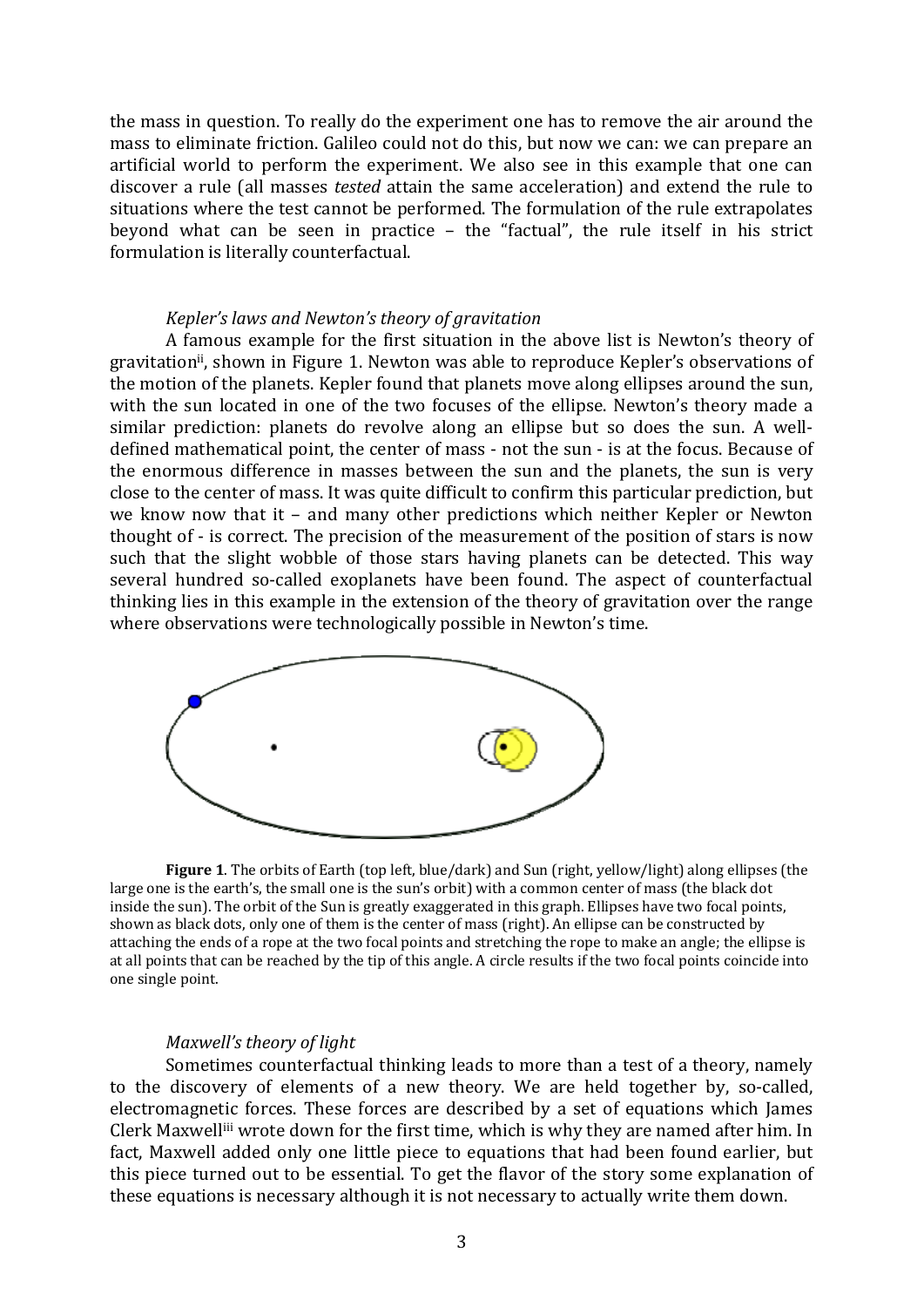the mass in question. To really do the experiment one has to remove the air around the mass to eliminate friction. Galileo could not do this, but now we can: we can prepare an artificial world to perform the experiment. We also see in this example that one can discover a rule (all masses *tested* attain the same acceleration) and extend the rule to situations where the test cannot be performed. The formulation of the rule extrapolates beyond what can be seen in practice  $-$  the "factual", the rule itself in his strict formulation is literally counterfactual.

# *Kepler's laws and Newton's theory of gravitation*

A famous example for the first situation in the above list is Newton's theory of gravitation<sup>ii</sup>, shown in Figure 1. Newton was able to reproduce Kepler's observations of the motion of the planets. Kepler found that planets move along ellipses around the sun, with the sun located in one of the two focuses of the ellipse. Newton's theory made a similar prediction: planets do revolve along an ellipse but so does the sun. A welldefined mathematical point, the center of mass - not the sun - is at the focus. Because of the enormous difference in masses between the sun and the planets, the sun is very close to the center of mass. It was quite difficult to confirm this particular prediction, but we know now that it  $-$  and many other predictions which neither Kepler or Newton thought of - is correct. The precision of the measurement of the position of stars is now such that the slight wobble of those stars having planets can be detected. This way several hundred so-called exoplanets have been found. The aspect of counterfactual thinking lies in this example in the extension of the theory of gravitation over the range where observations were technologically possible in Newton's time.



**Figure** 1. The orbits of Earth (top left, blue/dark) and Sun (right, yellow/light) along ellipses (the large one is the earth's, the small one is the sun's orbit) with a common center of mass (the black dot inside the sun). The orbit of the Sun is greatly exaggerated in this graph. Ellipses have two focal points, shown as black dots, only one of them is the center of mass (right). An ellipse can be constructed by attaching the ends of a rope at the two focal points and stretching the rope to make an angle; the ellipse is at all points that can be reached by the tip of this angle. A circle results if the two focal points coincide into one single point.

#### *Maxwell's theory of light*

Sometimes counterfactual thinking leads to more than a test of a theory, namely to the discovery of elements of a new theory. We are held together by, so-called, electromagnetic forces. These forces are described by a set of equations which James Clerk Maxwell<sup>iii</sup> wrote down for the first time, which is why they are named after him. In fact, Maxwell added only one little piece to equations that had been found earlier, but this piece turned out to be essential. To get the flavor of the story some explanation of these equations is necessary although it is not necessary to actually write them down.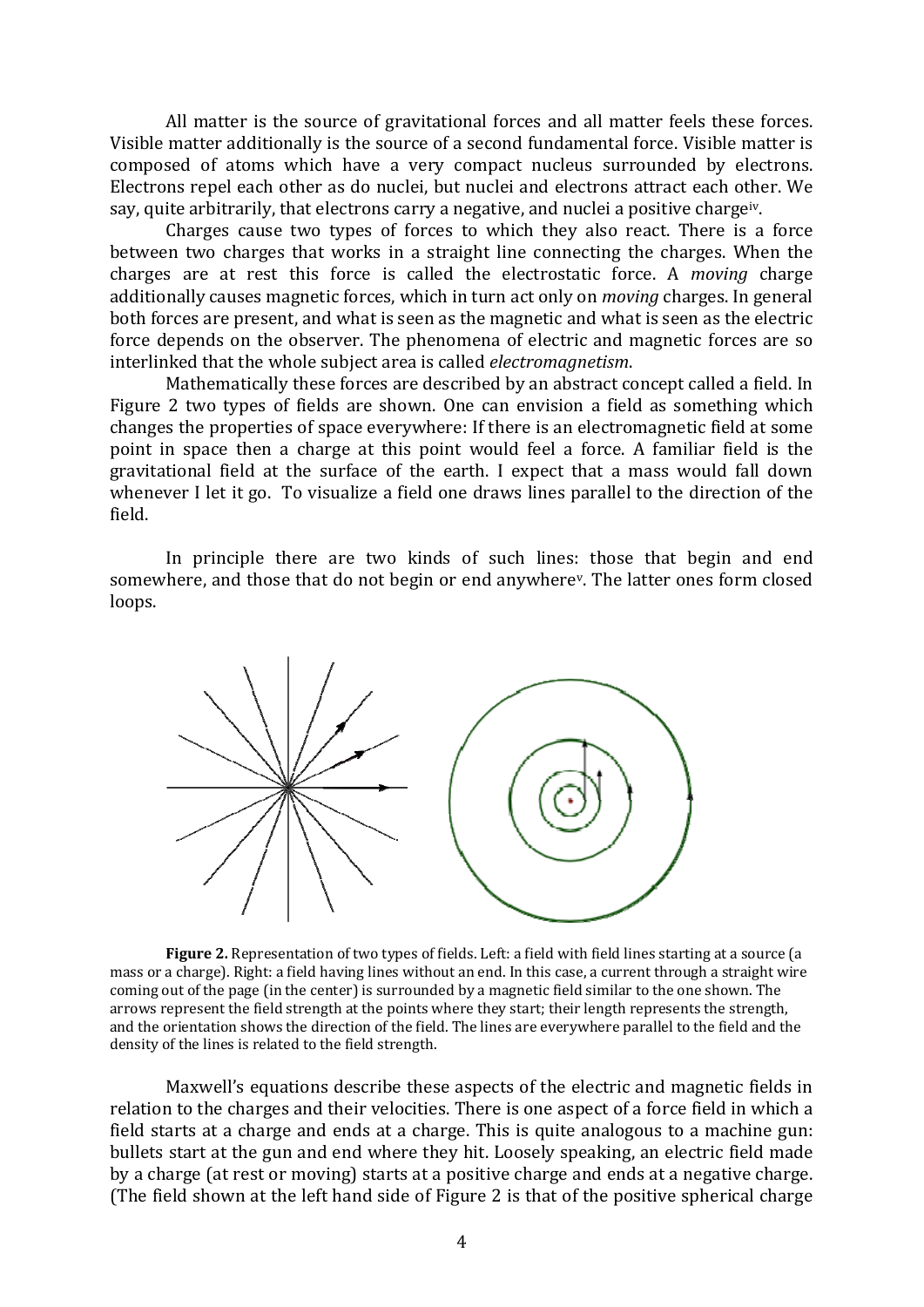All matter is the source of gravitational forces and all matter feels these forces. Visible matter additionally is the source of a second fundamental force. Visible matter is composed of atoms which have a very compact nucleus surrounded by electrons. Electrons repel each other as do nuclei, but nuclei and electrons attract each other. We say, quite arbitrarily, that electrons carry a negative, and nuclei a positive charge<sup>iv</sup>.

Charges cause two types of forces to which they also react. There is a force between two charges that works in a straight line connecting the charges. When the charges are at rest this force is called the electrostatic force. A *moving* charge additionally causes magnetic forces, which in turn act only on *moving* charges. In general both forces are present, and what is seen as the magnetic and what is seen as the electric force depends on the observer. The phenomena of electric and magnetic forces are so interlinked that the whole subject area is called *electromagnetism*.

Mathematically these forces are described by an abstract concept called a field. In Figure 2 two types of fields are shown. One can envision a field as something which changes the properties of space everywhere: If there is an electromagnetic field at some point in space then a charge at this point would feel a force. A familiar field is the gravitational field at the surface of the earth. I expect that a mass would fall down whenever I let it go. To visualize a field one draws lines parallel to the direction of the field. 

In principle there are two kinds of such lines: those that begin and end somewhere, and those that do not begin or end anywhere<sup>v</sup>. The latter ones form closed loops. 



**Figure** 2. Representation of two types of fields. Left: a field with field lines starting at a source (a mass or a charge). Right: a field having lines without an end. In this case, a current through a straight wire coming out of the page (in the center) is surrounded by a magnetic field similar to the one shown. The arrows represent the field strength at the points where they start; their length represents the strength, and the orientation shows the direction of the field. The lines are everywhere parallel to the field and the density of the lines is related to the field strength.

Maxwell's equations describe these aspects of the electric and magnetic fields in relation to the charges and their velocities. There is one aspect of a force field in which a field starts at a charge and ends at a charge. This is quite analogous to a machine gun: bullets start at the gun and end where they hit. Loosely speaking, an electric field made by a charge (at rest or moving) starts at a positive charge and ends at a negative charge. (The field shown at the left hand side of Figure 2 is that of the positive spherical charge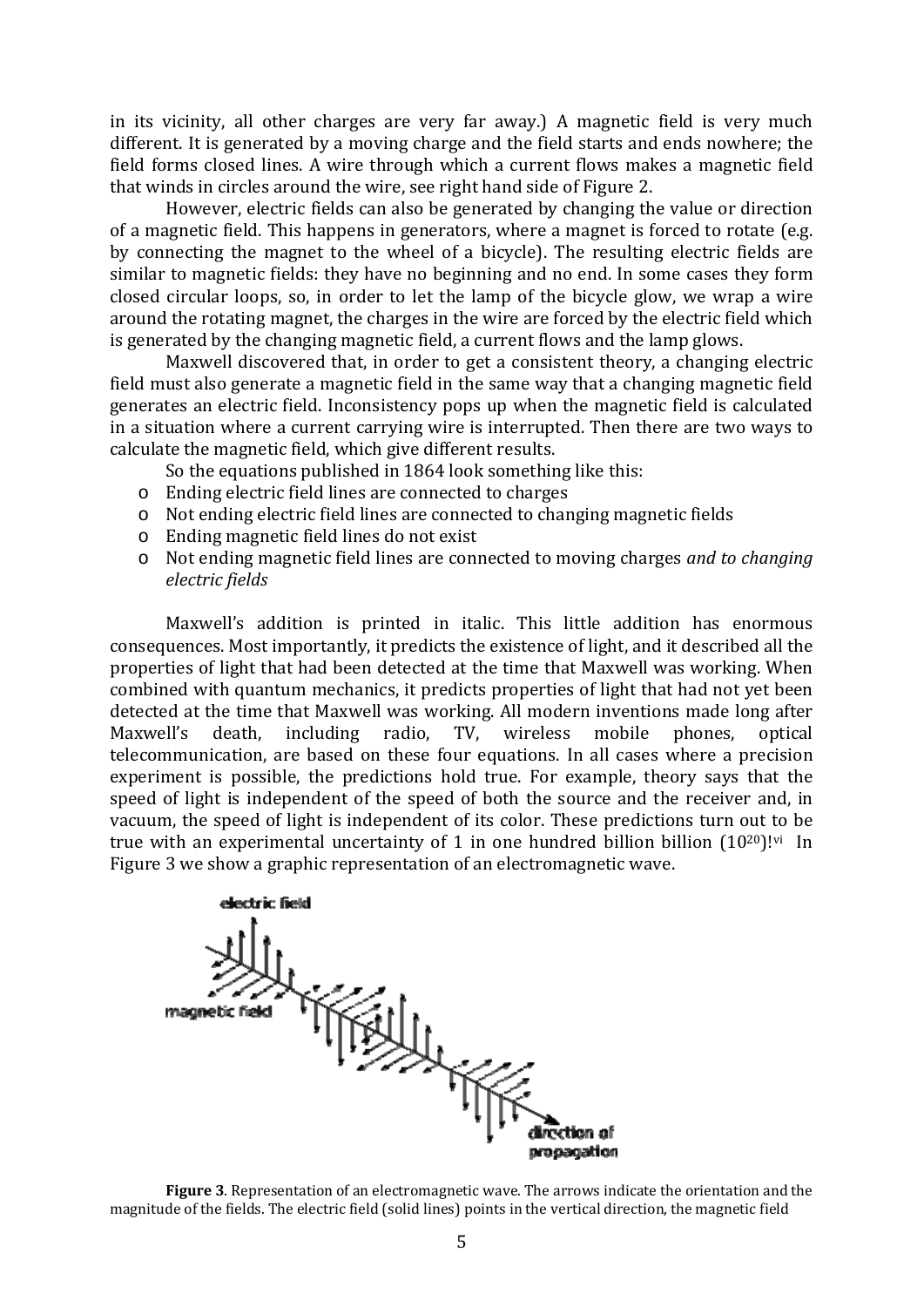in its vicinity, all other charges are very far away.) A magnetic field is very much different. It is generated by a moving charge and the field starts and ends nowhere; the field forms closed lines. A wire through which a current flows makes a magnetic field that winds in circles around the wire, see right hand side of Figure 2.

However, electric fields can also be generated by changing the value or direction of a magnetic field. This happens in generators, where a magnet is forced to rotate (e.g. by connecting the magnet to the wheel of a bicycle). The resulting electric fields are similar to magnetic fields: they have no beginning and no end. In some cases they form closed circular loops, so, in order to let the lamp of the bicycle glow, we wrap a wire around the rotating magnet, the charges in the wire are forced by the electric field which is generated by the changing magnetic field, a current flows and the lamp glows.

Maxwell discovered that, in order to get a consistent theory, a changing electric field must also generate a magnetic field in the same way that a changing magnetic field generates an electric field. Inconsistency pops up when the magnetic field is calculated in a situation where a current carrying wire is interrupted. Then there are two ways to calculate the magnetic field, which give different results.

So the equations published in 1864 look something like this:

- $\circ$  Ending electric field lines are connected to charges
- o Not ending electric field lines are connected to changing magnetic fields
- $\circ$  Ending magnetic field lines do not exist
- o Not ending magnetic field lines are connected to moving charges *and to changing electric fields*

Maxwell's addition is printed in italic. This little addition has enormous consequences. Most importantly, it predicts the existence of light, and it described all the properties of light that had been detected at the time that Maxwell was working. When combined with quantum mechanics, it predicts properties of light that had not yet been detected at the time that Maxwell was working. All modern inventions made long after Maxwell's death, including radio, TV, wireless mobile phones, optical telecommunication, are based on these four equations. In all cases where a precision experiment is possible, the predictions hold true. For example, theory says that the speed of light is independent of the speed of both the source and the receiver and, in vacuum, the speed of light is independent of its color. These predictions turn out to be true with an experimental uncertainty of 1 in one hundred billion billion  $(10^{20})!$ <sup>vi</sup> In Figure 3 we show a graphic representation of an electromagnetic wave.



**Figure** 3. Representation of an electromagnetic wave. The arrows indicate the orientation and the magnitude of the fields. The electric field (solid lines) points in the vertical direction, the magnetic field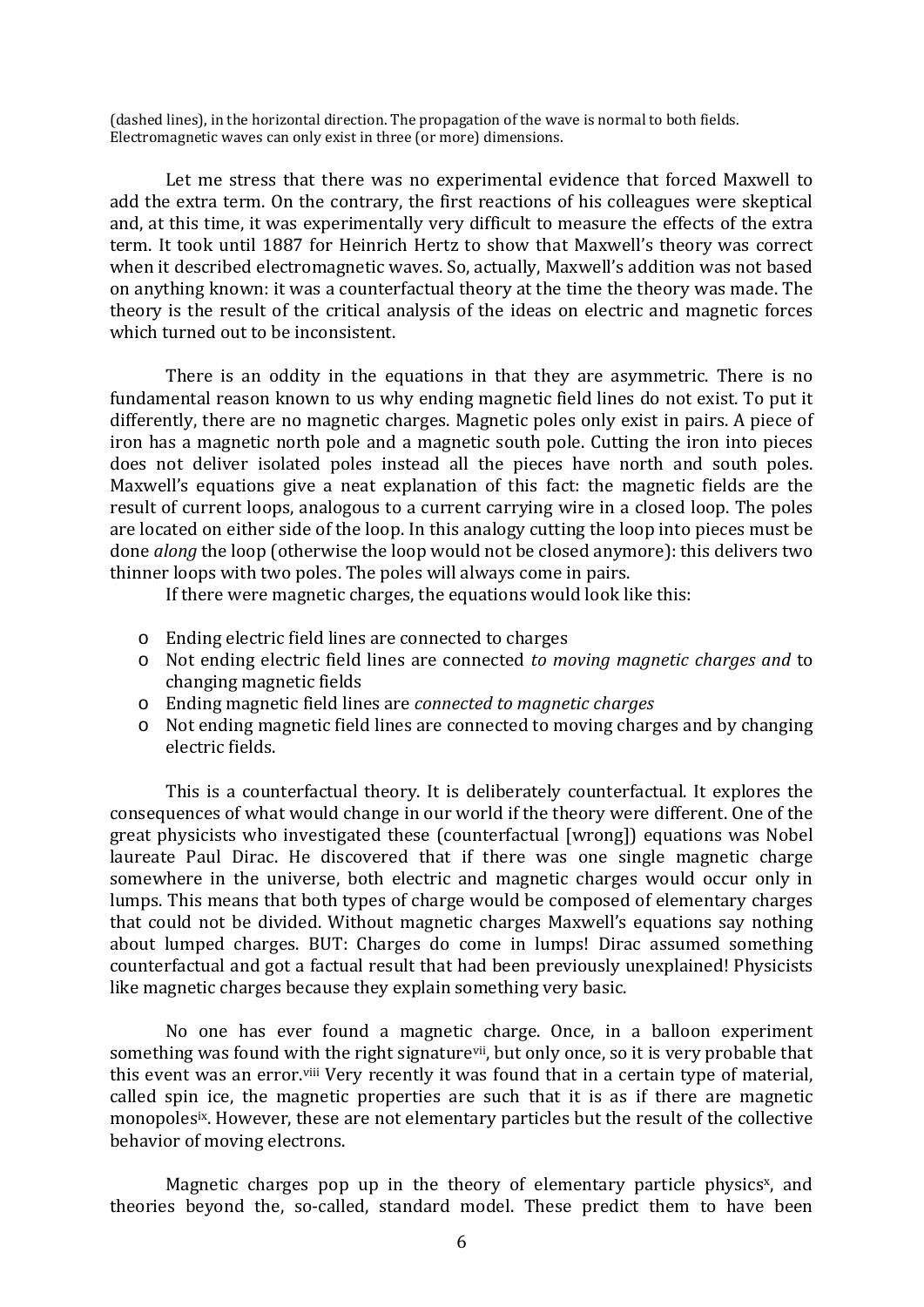(dashed lines), in the horizontal direction. The propagation of the wave is normal to both fields. Electromagnetic waves can only exist in three (or more) dimensions.

Let me stress that there was no experimental evidence that forced Maxwell to add the extra term. On the contrary, the first reactions of his colleagues were skeptical and, at this time, it was experimentally very difficult to measure the effects of the extra term. It took until 1887 for Heinrich Hertz to show that Maxwell's theory was correct when it described electromagnetic waves. So, actually, Maxwell's addition was not based on anything known: it was a counterfactual theory at the time the theory was made. The theory is the result of the critical analysis of the ideas on electric and magnetic forces which turned out to be inconsistent.

There is an oddity in the equations in that they are asymmetric. There is no fundamental reason known to us why ending magnetic field lines do not exist. To put it differently, there are no magnetic charges. Magnetic poles only exist in pairs. A piece of iron has a magnetic north pole and a magnetic south pole. Cutting the iron into pieces does not deliver isolated poles instead all the pieces have north and south poles. Maxwell's equations give a neat explanation of this fact: the magnetic fields are the result of current loops, analogous to a current carrying wire in a closed loop. The poles are located on either side of the loop. In this analogy cutting the loop into pieces must be done *along* the loop (otherwise the loop would not be closed anymore): this delivers two thinner loops with two poles. The poles will always come in pairs.

If there were magnetic charges, the equations would look like this:

- $\circ$  Ending electric field lines are connected to charges
- o Not ending electric field lines are connected *to moving magnetic charges and* to changing magnetic fields
- o Ending magnetic field lines are *connected to magnetic charges*
- $\circ$  Not ending magnetic field lines are connected to moving charges and by changing electric fields.

This is a counterfactual theory. It is deliberately counterfactual. It explores the consequences of what would change in our world if the theory were different. One of the great physicists who investigated these (counterfactual [wrong]) equations was Nobel laureate Paul Dirac. He discovered that if there was one single magnetic charge somewhere in the universe, both electric and magnetic charges would occur only in lumps. This means that both types of charge would be composed of elementary charges that could not be divided. Without magnetic charges Maxwell's equations say nothing about lumped charges. BUT: Charges do come in lumps! Dirac assumed something counterfactual and got a factual result that had been previously unexplained! Physicists like magnetic charges because they explain something very basic.

No one has ever found a magnetic charge. Once, in a balloon experiment something was found with the right signature<sup>vii</sup>, but only once, so it is very probable that this event was an error.<sup>viii</sup> Very recently it was found that in a certain type of material, called spin ice, the magnetic properties are such that it is as if there are magnetic monopoles<sup>ix</sup>. However, these are not elementary particles but the result of the collective behavior of moving electrons.

Magnetic charges pop up in the theory of elementary particle physics<sup>x</sup>, and theories beyond the, so-called, standard model. These predict them to have been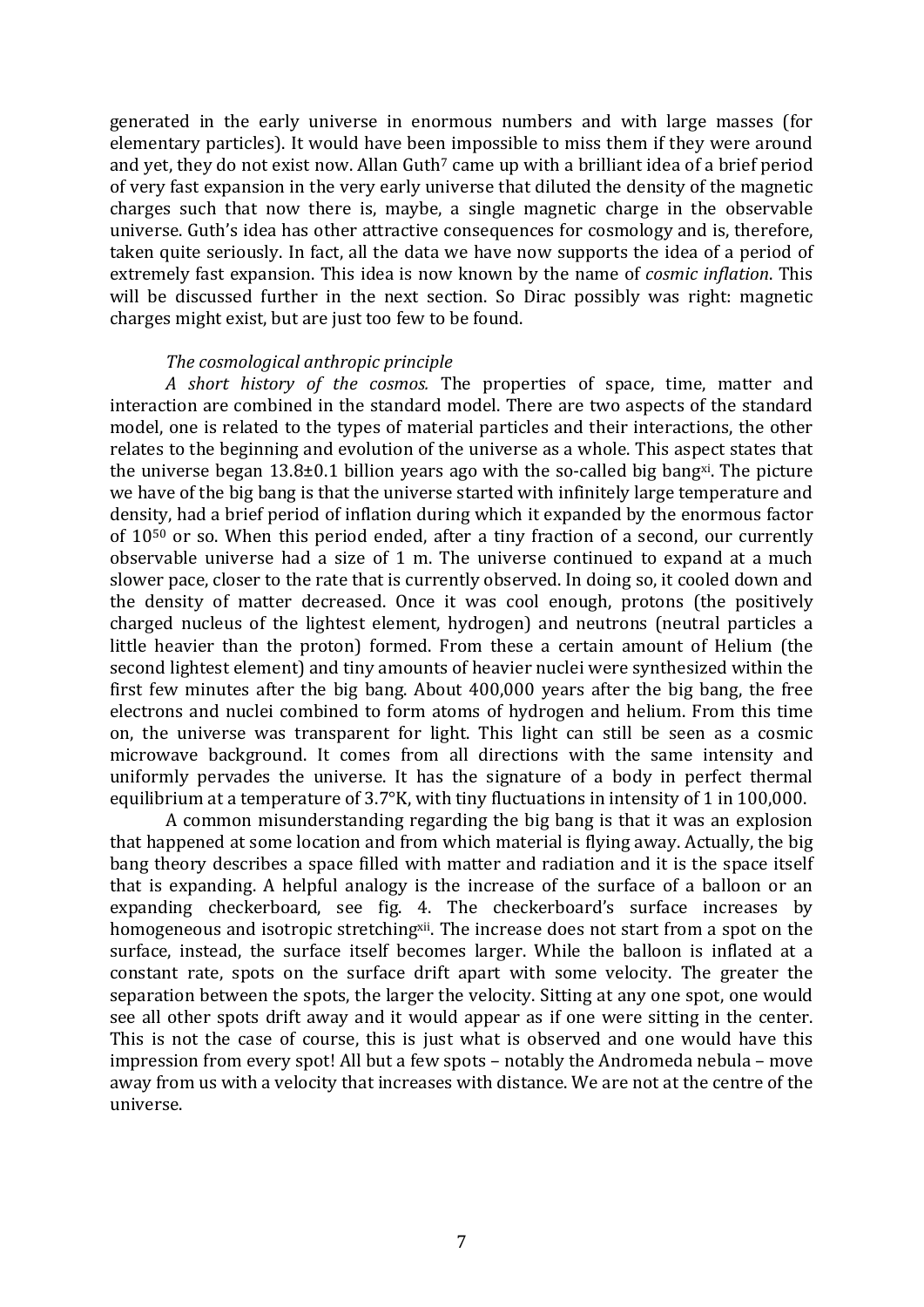generated in the early universe in enormous numbers and with large masses (for elementary particles). It would have been impossible to miss them if they were around and vet, they do not exist now. Allan Guth<sup>7</sup> came up with a brilliant idea of a brief period of very fast expansion in the very early universe that diluted the density of the magnetic charges such that now there is, maybe, a single magnetic charge in the observable universe. Guth's idea has other attractive consequences for cosmology and is, therefore, taken quite seriously. In fact, all the data we have now supports the idea of a period of extremely fast expansion. This idea is now known by the name of *cosmic inflation*. This will be discussed further in the next section. So Dirac possibly was right: magnetic charges might exist, but are just too few to be found.

# *The cosmological anthropic principle*

*A short history of the cosmos.* The properties of space, time, matter and interaction are combined in the standard model. There are two aspects of the standard model, one is related to the types of material particles and their interactions, the other relates to the beginning and evolution of the universe as a whole. This aspect states that the universe began  $13.8\pm0.1$  billion years ago with the so-called big bang<sup>xi</sup>. The picture we have of the big bang is that the universe started with infinitely large temperature and density, had a brief period of inflation during which it expanded by the enormous factor of  $10^{50}$  or so. When this period ended, after a tiny fraction of a second, our currently observable universe had a size of 1 m. The universe continued to expand at a much slower pace, closer to the rate that is currently observed. In doing so, it cooled down and the density of matter decreased. Once it was cool enough, protons (the positively charged nucleus of the lightest element, hydrogen) and neutrons (neutral particles a little heavier than the proton) formed. From these a certain amount of Helium (the second lightest element) and tiny amounts of heavier nuclei were synthesized within the first few minutes after the big bang. About  $400,000$  years after the big bang, the free electrons and nuclei combined to form atoms of hydrogen and helium. From this time on, the universe was transparent for light. This light can still be seen as a cosmic microwave background. It comes from all directions with the same intensity and uniformly pervades the universe. It has the signature of a body in perfect thermal equilibrium at a temperature of  $3.7\textdegree$ K, with tiny fluctuations in intensity of 1 in 100,000.

A common misunderstanding regarding the big bang is that it was an explosion that happened at some location and from which material is flying away. Actually, the big bang theory describes a space filled with matter and radiation and it is the space itself that is expanding. A helpful analogy is the increase of the surface of a balloon or an expanding checkerboard, see fig. 4. The checkerboard's surface increases by homogeneous and isotropic stretching<sup>xii</sup>. The increase does not start from a spot on the surface, instead, the surface itself becomes larger. While the balloon is inflated at a constant rate, spots on the surface drift apart with some velocity. The greater the separation between the spots, the larger the velocity. Sitting at any one spot, one would see all other spots drift away and it would appear as if one were sitting in the center. This is not the case of course, this is just what is observed and one would have this impression from every spot! All but a few spots – notably the Andromeda nebula – move away from us with a velocity that increases with distance. We are not at the centre of the universe.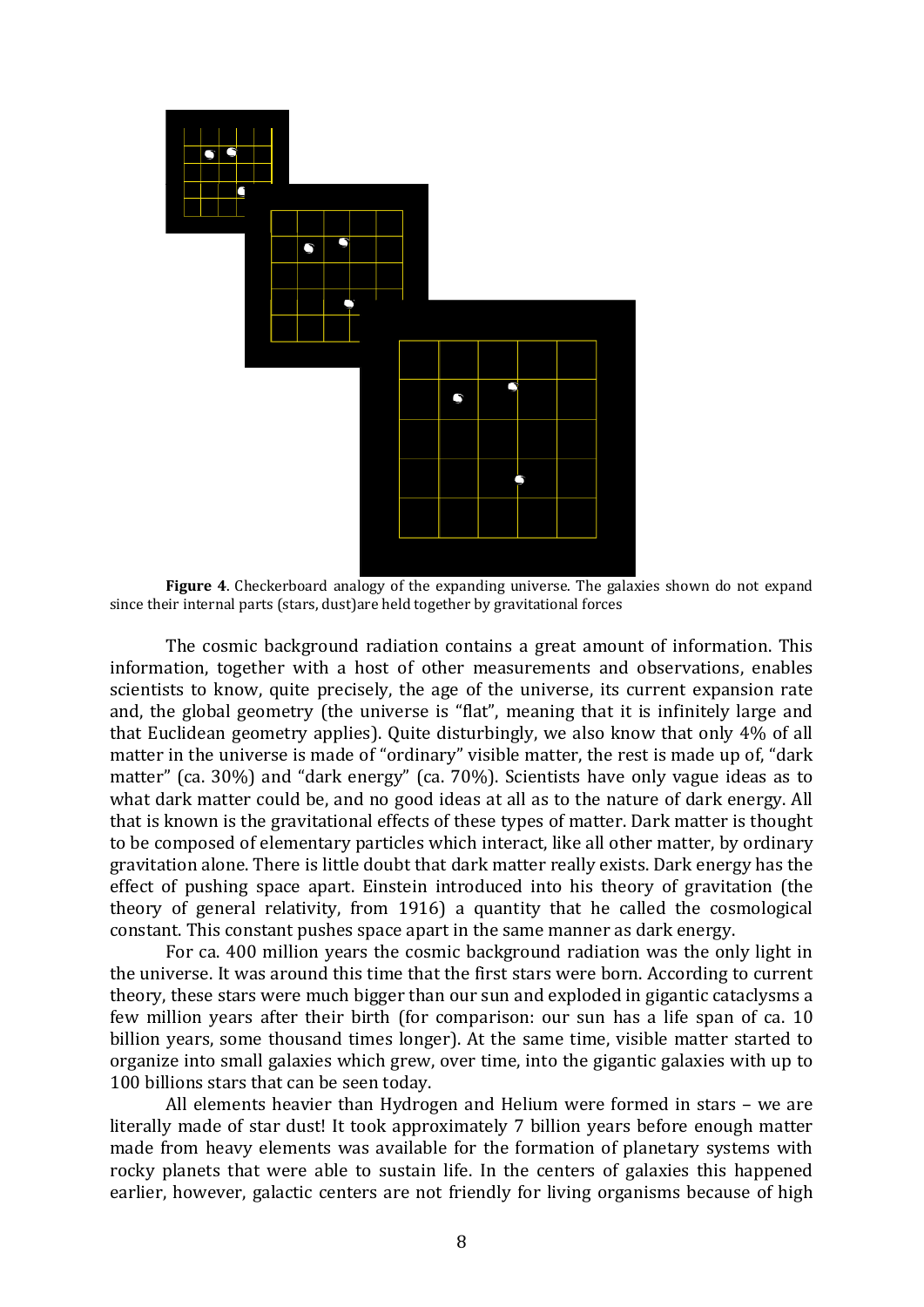

**Figure** 4. Checkerboard analogy of the expanding universe. The galaxies shown do not expand since their internal parts (stars, dust)are held together by gravitational forces

The cosmic background radiation contains a great amount of information. This information, together with a host of other measurements and observations, enables scientists to know, quite precisely, the age of the universe, its current expansion rate and, the global geometry (the universe is "flat", meaning that it is infinitely large and that Euclidean geometry applies). Quite disturbingly, we also know that only  $4\%$  of all matter in the universe is made of "ordinary" visible matter, the rest is made up of, "dark matter" (ca. 30%) and "dark energy" (ca. 70%). Scientists have only vague ideas as to what dark matter could be, and no good ideas at all as to the nature of dark energy. All that is known is the gravitational effects of these types of matter. Dark matter is thought to be composed of elementary particles which interact, like all other matter, by ordinary gravitation alone. There is little doubt that dark matter really exists. Dark energy has the effect of pushing space apart. Einstein introduced into his theory of gravitation (the theory of general relativity, from  $1916$ ) a quantity that he called the cosmological constant. This constant pushes space apart in the same manner as dark energy.

For ca. 400 million years the cosmic background radiation was the only light in the universe. It was around this time that the first stars were born. According to current theory, these stars were much bigger than our sun and exploded in gigantic cataclysms a few million years after their birth (for comparison: our sun has a life span of ca. 10 billion years, some thousand times longer). At the same time, visible matter started to organize into small galaxies which grew, over time, into the gigantic galaxies with up to 100 billions stars that can be seen today.

All elements heavier than Hydrogen and Helium were formed in stars - we are literally made of star dust! It took approximately 7 billion years before enough matter made from heavy elements was available for the formation of planetary systems with rocky planets that were able to sustain life. In the centers of galaxies this happened earlier, however, galactic centers are not friendly for living organisms because of high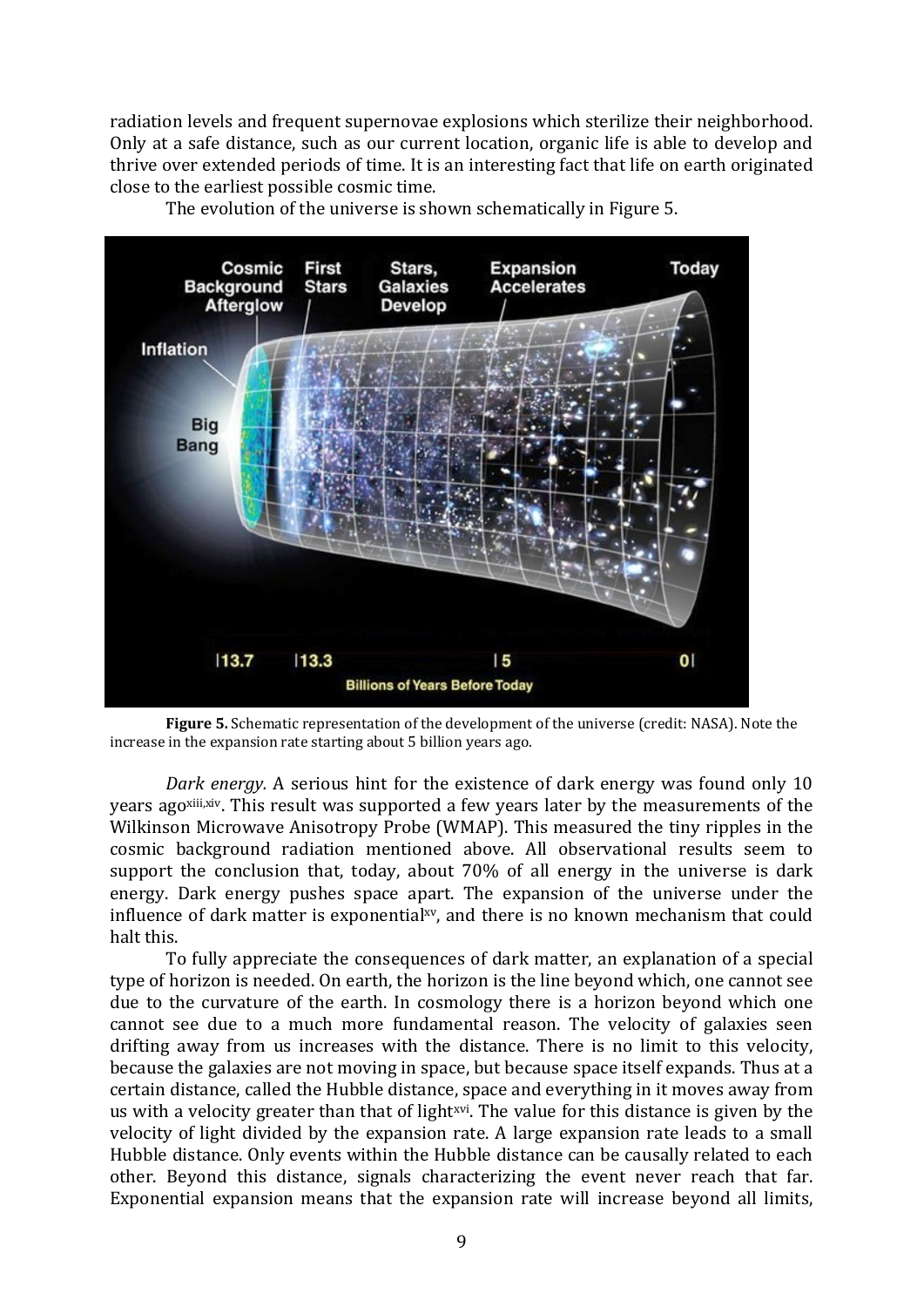radiation levels and frequent supernovae explosions which sterilize their neighborhood. Only at a safe distance, such as our current location, organic life is able to develop and thrive over extended periods of time. It is an interesting fact that life on earth originated close to the earliest possible cosmic time.



The evolution of the universe is shown schematically in Figure 5.

**Figure** 5. Schematic representation of the development of the universe (credit: NASA). Note the increase in the expansion rate starting about  $5$  billion years ago.

*Dark energy*. A serious hint for the existence of dark energy was found only 10 years ago<sup>xiii,xiv</sup>. This result was supported a few years later by the measurements of the Wilkinson Microwave Anisotropy Probe (WMAP). This measured the tiny ripples in the cosmic background radiation mentioned above. All observational results seem to support the conclusion that, today, about  $70\%$  of all energy in the universe is dark energy. Dark energy pushes space apart. The expansion of the universe under the influence of dark matter is exponential<sub>xy</sub>, and there is no known mechanism that could halt this.

To fully appreciate the consequences of dark matter, an explanation of a special type of horizon is needed. On earth, the horizon is the line beyond which, one cannot see due to the curvature of the earth. In cosmology there is a horizon beyond which one cannot see due to a much more fundamental reason. The velocity of galaxies seen drifting away from us increases with the distance. There is no limit to this velocity, because the galaxies are not moving in space, but because space itself expands. Thus at a certain distance, called the Hubble distance, space and everything in it moves away from us with a velocity greater than that of light<sup>xvi</sup>. The value for this distance is given by the velocity of light divided by the expansion rate. A large expansion rate leads to a small Hubble distance. Only events within the Hubble distance can be causally related to each other. Beyond this distance, signals characterizing the event never reach that far. Exponential expansion means that the expansion rate will increase beyond all limits,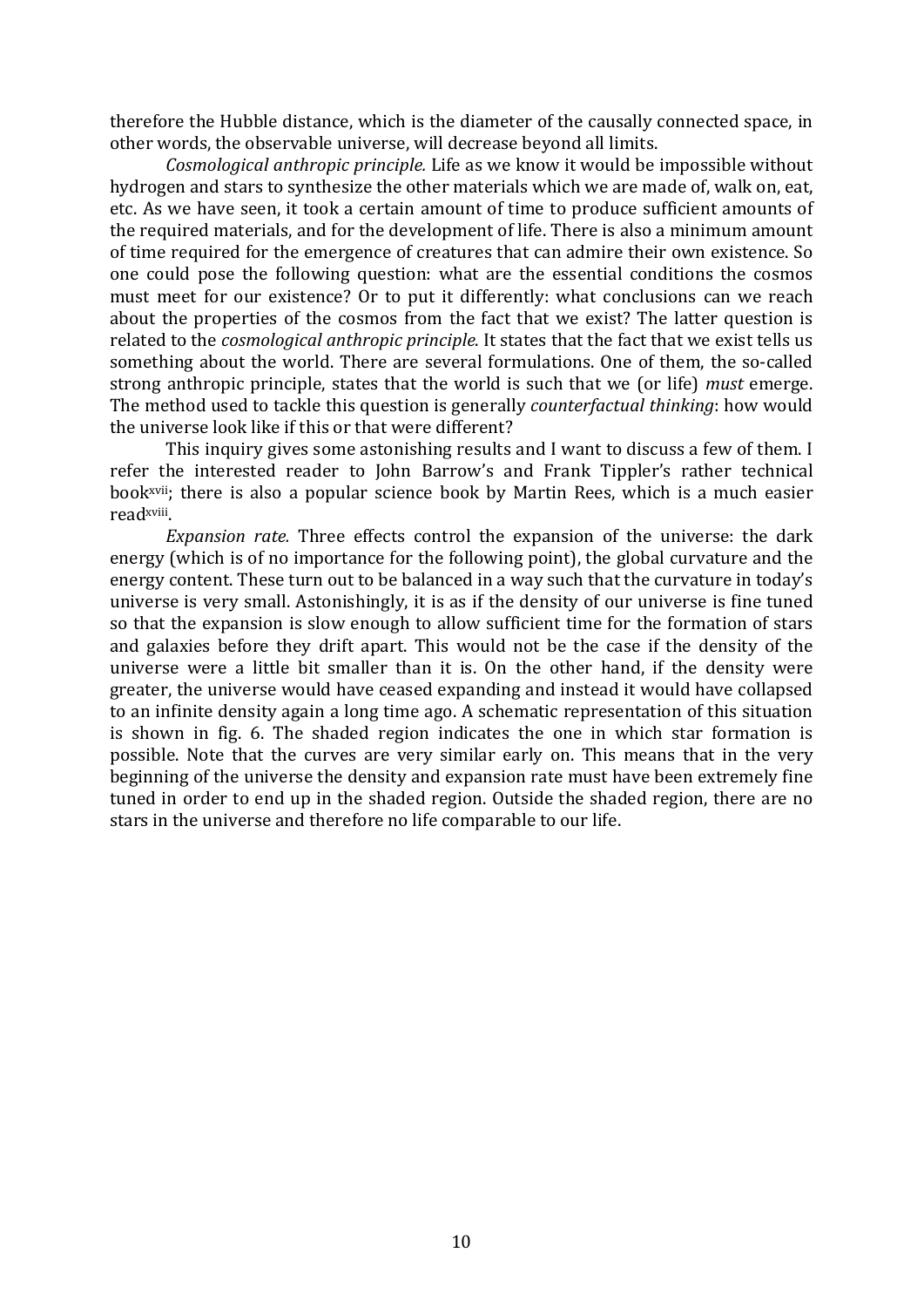therefore the Hubble distance, which is the diameter of the causally connected space, in other words, the observable universe, will decrease beyond all limits.

*Cosmological anthropic principle.* Life as we know it would be impossible without hydrogen and stars to synthesize the other materials which we are made of, walk on, eat, etc. As we have seen, it took a certain amount of time to produce sufficient amounts of the required materials, and for the development of life. There is also a minimum amount of time required for the emergence of creatures that can admire their own existence. So one could pose the following question: what are the essential conditions the cosmos must meet for our existence? Or to put it differently: what conclusions can we reach about the properties of the cosmos from the fact that we exist? The latter question is related to the *cosmological anthropic principle*. It states that the fact that we exist tells us something about the world. There are several formulations. One of them, the so-called strong anthropic principle, states that the world is such that we (or life) *must* emerge. The method used to tackle this question is generally *counterfactual thinking*: how would the universe look like if this or that were different?

This inquiry gives some astonishing results and I want to discuss a few of them. I refer the interested reader to John Barrow's and Frank Tippler's rather technical book<sup>xvii</sup>; there is also a popular science book by Martin Rees, which is a much easier readxviii. 

*Expansion rate.* Three effects control the expansion of the universe: the dark energy (which is of no importance for the following point), the global curvature and the energy content. These turn out to be balanced in a way such that the curvature in today's universe is very small. Astonishingly, it is as if the density of our universe is fine tuned so that the expansion is slow enough to allow sufficient time for the formation of stars and galaxies before they drift apart. This would not be the case if the density of the universe were a little bit smaller than it is. On the other hand, if the density were greater, the universe would have ceased expanding and instead it would have collapsed to an infinite density again a long time ago. A schematic representation of this situation is shown in fig. 6. The shaded region indicates the one in which star formation is possible. Note that the curves are very similar early on. This means that in the very beginning of the universe the density and expansion rate must have been extremely fine tuned in order to end up in the shaded region. Outside the shaded region, there are no stars in the universe and therefore no life comparable to our life.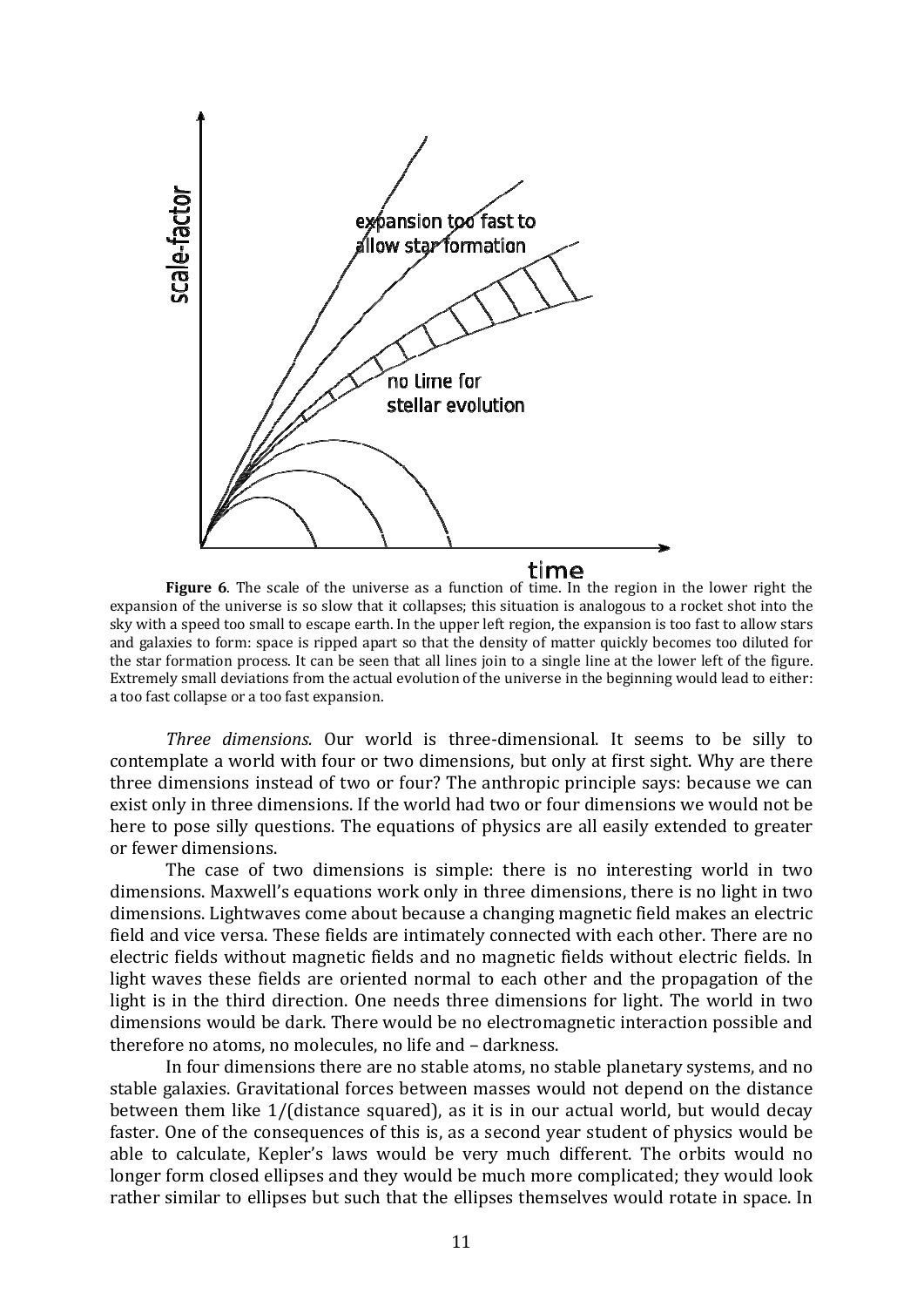

**Figure** 6. The scale of the universe as a function of time. In the region in the lower right the expansion of the universe is so slow that it collapses; this situation is analogous to a rocket shot into the sky with a speed too small to escape earth. In the upper left region, the expansion is too fast to allow stars and galaxies to form: space is ripped apart so that the density of matter quickly becomes too diluted for the star formation process. It can be seen that all lines join to a single line at the lower left of the figure. Extremely small deviations from the actual evolution of the universe in the beginning would lead to either: a too fast collapse or a too fast expansion.

*Three dimensions*. Our world is three-dimensional. It seems to be silly to contemplate a world with four or two dimensions, but only at first sight. Why are there three dimensions instead of two or four? The anthropic principle says: because we can exist only in three dimensions. If the world had two or four dimensions we would not be here to pose silly questions. The equations of physics are all easily extended to greater or fewer dimensions.

The case of two dimensions is simple: there is no interesting world in two dimensions. Maxwell's equations work only in three dimensions, there is no light in two dimensions. Lightwaves come about because a changing magnetic field makes an electric field and vice versa. These fields are intimately connected with each other. There are no electric fields without magnetic fields and no magnetic fields without electric fields. In light waves these fields are oriented normal to each other and the propagation of the light is in the third direction. One needs three dimensions for light. The world in two dimensions would be dark. There would be no electromagnetic interaction possible and therefore no atoms, no molecules, no life and - darkness.

In four dimensions there are no stable atoms, no stable planetary systems, and no stable galaxies. Gravitational forces between masses would not depend on the distance between them like  $1/$ (distance squared), as it is in our actual world, but would decay faster. One of the consequences of this is, as a second year student of physics would be able to calculate, Kepler's laws would be very much different. The orbits would no longer form closed ellipses and they would be much more complicated; they would look rather similar to ellipses but such that the ellipses themselves would rotate in space. In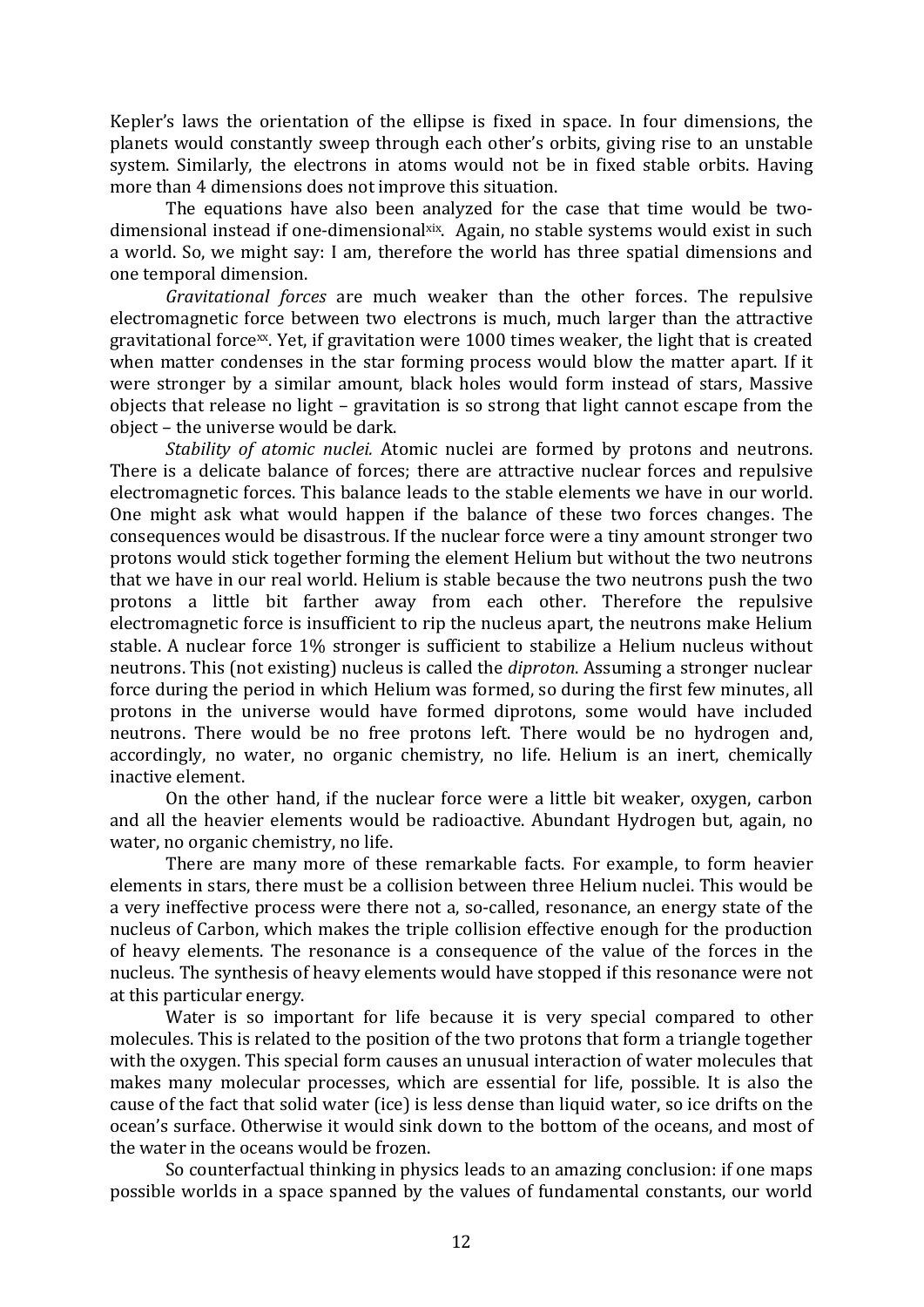Kepler's laws the orientation of the ellipse is fixed in space. In four dimensions, the planets would constantly sweep through each other's orbits, giving rise to an unstable system. Similarly, the electrons in atoms would not be in fixed stable orbits. Having more than 4 dimensions does not improve this situation.

The equations have also been analyzed for the case that time would be twodimensional instead if one-dimensional $\frac{dx}{dx}$ . Again, no stable systems would exist in such a world. So, we might say: I am, therefore the world has three spatial dimensions and one temporal dimension.

*Gravitational forces* are much weaker than the other forces. The repulsive electromagnetic force between two electrons is much, much larger than the attractive gravitational force<sup>xx</sup>. Yet, if gravitation were 1000 times weaker, the light that is created when matter condenses in the star forming process would blow the matter apart. If it were stronger by a similar amount, black holes would form instead of stars, Massive obiects that release no light - gravitation is so strong that light cannot escape from the object – the universe would be dark.

*Stability of atomic nuclei*. Atomic nuclei are formed by protons and neutrons. There is a delicate balance of forces; there are attractive nuclear forces and repulsive electromagnetic forces. This balance leads to the stable elements we have in our world. One might ask what would happen if the balance of these two forces changes. The consequences would be disastrous. If the nuclear force were a tiny amount stronger two protons would stick together forming the element Helium but without the two neutrons that we have in our real world. Helium is stable because the two neutrons push the two protons a little bit farther away from each other. Therefore the repulsive electromagnetic force is insufficient to rip the nucleus apart, the neutrons make Helium stable. A nuclear force 1% stronger is sufficient to stabilize a Helium nucleus without neutrons. This (not existing) nucleus is called the *diproton*. Assuming a stronger nuclear force during the period in which Helium was formed, so during the first few minutes, all protons in the universe would have formed diprotons, some would have included neutrons. There would be no free protons left. There would be no hydrogen and, accordingly, no water, no organic chemistry, no life. Helium is an inert, chemically inactive element.

On the other hand, if the nuclear force were a little bit weaker, oxygen, carbon and all the heavier elements would be radioactive. Abundant Hydrogen but, again, no water, no organic chemistry, no life.

There are many more of these remarkable facts. For example, to form heavier elements in stars, there must be a collision between three Helium nuclei. This would be a very ineffective process were there not a, so-called, resonance, an energy state of the nucleus of Carbon, which makes the triple collision effective enough for the production of heavy elements. The resonance is a consequence of the value of the forces in the nucleus. The synthesis of heavy elements would have stopped if this resonance were not at this particular energy.

Water is so important for life because it is very special compared to other molecules. This is related to the position of the two protons that form a triangle together with the oxygen. This special form causes an unusual interaction of water molecules that makes many molecular processes, which are essential for life, possible. It is also the cause of the fact that solid water (ice) is less dense than liquid water, so ice drifts on the ocean's surface. Otherwise it would sink down to the bottom of the oceans, and most of the water in the oceans would be frozen.

So counterfactual thinking in physics leads to an amazing conclusion: if one maps possible worlds in a space spanned by the values of fundamental constants, our world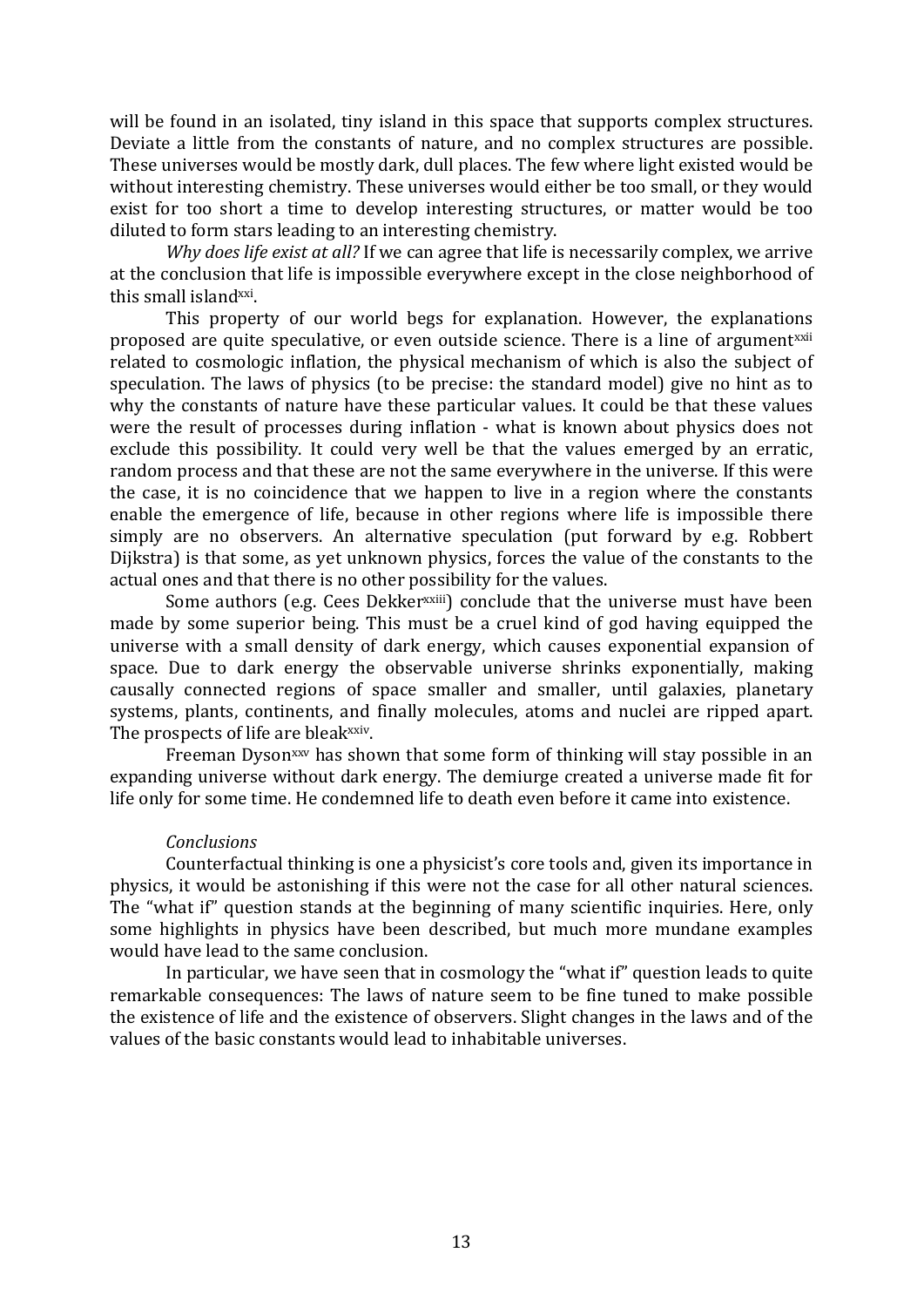will be found in an isolated, tiny island in this space that supports complex structures. Deviate a little from the constants of nature, and no complex structures are possible. These universes would be mostly dark, dull places. The few where light existed would be without interesting chemistry. These universes would either be too small, or they would exist for too short a time to develop interesting structures, or matter would be too diluted to form stars leading to an interesting chemistry.

*Why does life exist at all?* If we can agree that life is necessarily complex, we arrive at the conclusion that life is impossible everywhere except in the close neighborhood of this small island<sup>xxi</sup>.

This property of our world begs for explanation. However, the explanations proposed are quite speculative, or even outside science. There is a line of argument<sup>xxii</sup> related to cosmologic inflation, the physical mechanism of which is also the subject of speculation. The laws of physics (to be precise: the standard model) give no hint as to why the constants of nature have these particular values. It could be that these values were the result of processes during inflation - what is known about physics does not exclude this possibility. It could very well be that the values emerged by an erratic, random process and that these are not the same everywhere in the universe. If this were the case, it is no coincidence that we happen to live in a region where the constants enable the emergence of life, because in other regions where life is impossible there simply are no observers. An alternative speculation (put forward by e.g. Robbert Dijkstra) is that some, as yet unknown physics, forces the value of the constants to the actual ones and that there is no other possibility for the values.

Some authors (e.g. Cees Dekker<sup>xxiii</sup>) conclude that the universe must have been made by some superior being. This must be a cruel kind of god having equipped the universe with a small density of dark energy, which causes exponential expansion of space. Due to dark energy the observable universe shrinks exponentially, making causally connected regions of space smaller and smaller, until galaxies, planetary systems, plants, continents, and finally molecules, atoms and nuclei are ripped apart. The prospects of life are bleak<sup>xxiv</sup>.

Freeman Dyson<sup>xxv</sup> has shown that some form of thinking will stay possible in an expanding universe without dark energy. The demiurge created a universe made fit for life only for some time. He condemned life to death even before it came into existence.

# *Conclusions*

Counterfactual thinking is one a physicist's core tools and, given its importance in physics, it would be astonishing if this were not the case for all other natural sciences. The "what if" question stands at the beginning of many scientific inquiries. Here, only some highlights in physics have been described, but much more mundane examples would have lead to the same conclusion.

In particular, we have seen that in cosmology the "what if" question leads to quite remarkable consequences: The laws of nature seem to be fine tuned to make possible the existence of life and the existence of observers. Slight changes in the laws and of the values of the basic constants would lead to inhabitable universes.